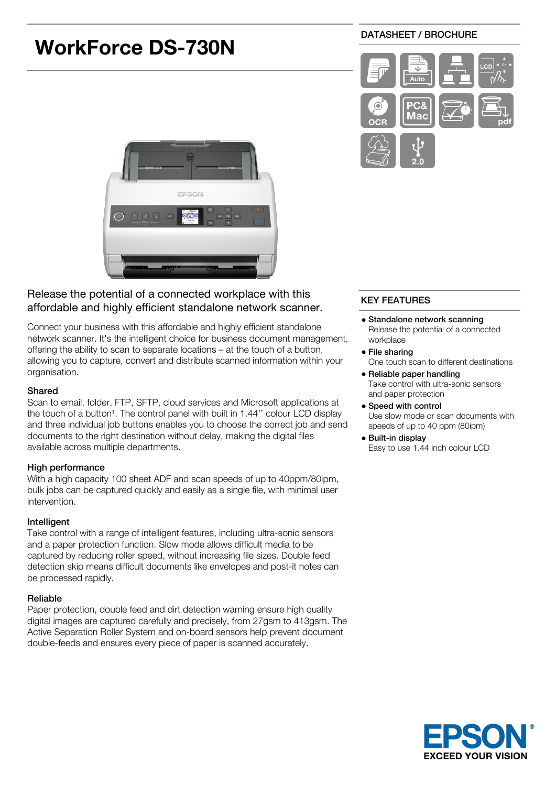# DATASHEET / BROCHURE **WorkForce DS-730N** Иас



# Release the potential of a connected workplace with this affordable and highly efficient standalone network scanner.

Connect your business with this affordable and highly efficient standalone network scanner. It's the intelligent choice for business document management, offering the ability to scan to separate locations – at the touch of a button, allowing you to capture, convert and distribute scanned information within your organisation.

# Shared

Scan to email, folder, FTP, SFTP, cloud services and Microsoft applications at the touch of a button<sup>1</sup>. The control panel with built in 1.44" colour LCD display and three individual job buttons enables you to choose the correct job and send documents to the right destination without delay, making the digital files available across multiple departments.

# High performance

With a high capacity 100 sheet ADF and scan speeds of up to 40ppm/80ipm, bulk jobs can be captured quickly and easily as a single file, with minimal user intervention.

# Intelligent

Take control with a range of intelligent features, including ultra-sonic sensors and a paper protection function. Slow mode allows difficult media to be captured by reducing roller speed, without increasing file sizes. Double feed detection skip means difficult documents like envelopes and post-it notes can be processed rapidly.

# Reliable

Paper protection, double feed and dirt detection warning ensure high quality digital images are captured carefully and precisely, from 27gsm to 413gsm. The Active Separation Roller System and on-board sensors help prevent document double-feeds and ensures every piece of paper is scanned accurately.

# KEY FEATURES

- Standalone network scanning Release the potential of a connected workplace
- File sharing One touch scan to different destinations
- Reliable paper handling Take control with ultra-sonic sensors and paper protection
- Speed with control Use slow mode or scan documents with speeds of up to 40 ppm (80ipm)
- Built-in display Easy to use 1.44 inch colour LCD